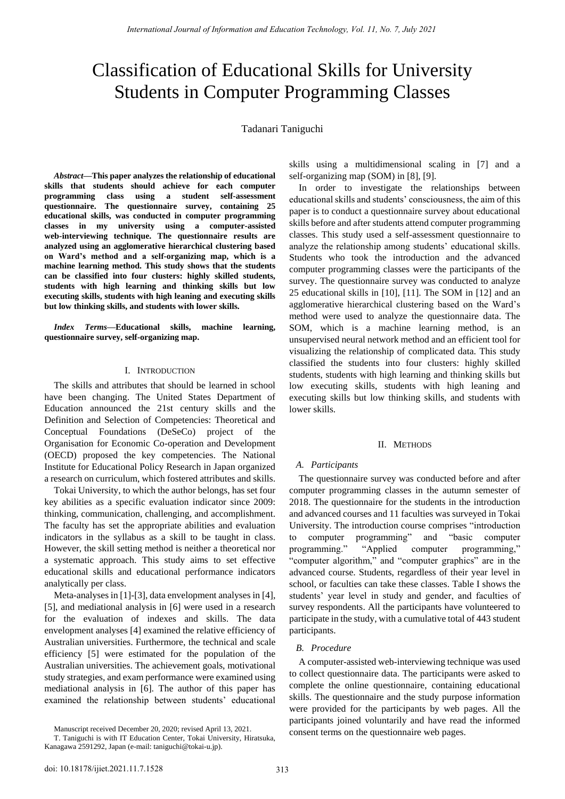# Classification of Educational Skills for University Students in Computer Programming Classes

Tadanari Taniguchi

*Abstract***—This paper analyzes the relationship of educational skills that students should achieve for each computer programming class using a student self-assessment questionnaire. The questionnaire survey, containing 25 educational skills, was conducted in computer programming classes in my university using a computer-assisted web-interviewing technique. The questionnaire results are analyzed using an agglomerative hierarchical clustering based on Ward's method and a self-organizing map, which is a machine learning method. This study shows that the students can be classified into four clusters: highly skilled students, students with high learning and thinking skills but low executing skills, students with high leaning and executing skills but low thinking skills, and students with lower skills.** 

*Index Terms***—Educational skills, machine learning, questionnaire survey, self-organizing map.** 

# I. INTRODUCTION

The skills and attributes that should be learned in school have been changing. The United States Department of Education announced the 21st century skills and the Definition and Selection of Competencies: Theoretical and Conceptual Foundations (DeSeCo) project of the Organisation for Economic Co-operation and Development (OECD) proposed the key competencies. The National Institute for Educational Policy Research in Japan organized a research on curriculum, which fostered attributes and skills.

Tokai University, to which the author belongs, has set four key abilities as a specific evaluation indicator since 2009: thinking, communication, challenging, and accomplishment. The faculty has set the appropriate abilities and evaluation indicators in the syllabus as a skill to be taught in class. However, the skill setting method is neither a theoretical nor a systematic approach. This study aims to set effective educational skills and educational performance indicators analytically per class.

Meta-analyses in [1]-[3], data envelopment analyses in [4], [5], and mediational analysis in [6] were used in a research for the evaluation of indexes and skills. The data envelopment analyses [4] examined the relative efficiency of Australian universities. Furthermore, the technical and scale efficiency [5] were estimated for the population of the Australian universities. The achievement goals, motivational study strategies, and exam performance were examined using mediational analysis in [6]. The author of this paper has examined the relationship between students' educational

Manuscript received December 20, 2020; revised April 13, 2021.

skills using a multidimensional scaling in [7] and a self-organizing map (SOM) in [8], [9].

In order to investigate the relationships between educational skills and students' consciousness, the aim of this paper is to conduct a questionnaire survey about educational skills before and after students attend computer programming classes. This study used a self-assessment questionnaire to analyze the relationship among students' educational skills. Students who took the introduction and the advanced computer programming classes were the participants of the survey. The questionnaire survey was conducted to analyze 25 educational skills in [10], [11]. The SOM in [12] and an agglomerative hierarchical clustering based on the Ward's method were used to analyze the questionnaire data. The SOM, which is a machine learning method, is an unsupervised neural network method and an efficient tool for visualizing the relationship of complicated data. This study classified the students into four clusters: highly skilled students, students with high learning and thinking skills but low executing skills, students with high leaning and executing skills but low thinking skills, and students with lower skills.

## II. METHODS

## *A. Participants*

The questionnaire survey was conducted before and after computer programming classes in the autumn semester of 2018. The questionnaire for the students in the introduction and advanced courses and 11 faculties was surveyed in Tokai University. The introduction course comprises "introduction to computer programming" and "basic computer programming." "Applied computer programming," "computer algorithm," and "computer graphics" are in the advanced course. Students, regardless of their year level in school, or faculties can take these classes. Table I shows the students' year level in study and gender, and faculties of survey respondents. All the participants have volunteered to participate in the study, with a cumulative total of 443 student participants.

# *B. Procedure*

A computer-assisted web-interviewing technique was used to collect questionnaire data. The participants were asked to complete the online questionnaire, containing educational skills. The questionnaire and the study purpose information were provided for the participants by web pages. All the participants joined voluntarily and have read the informed consent terms on the questionnaire web pages.

T. Taniguchi is with IT Education Center, Tokai University, Hiratsuka, Kanagawa 2591292, Japan (e-mail: [taniguchi@tokai-u.jp\)](mailto:taniguchi@tokai-u.jp).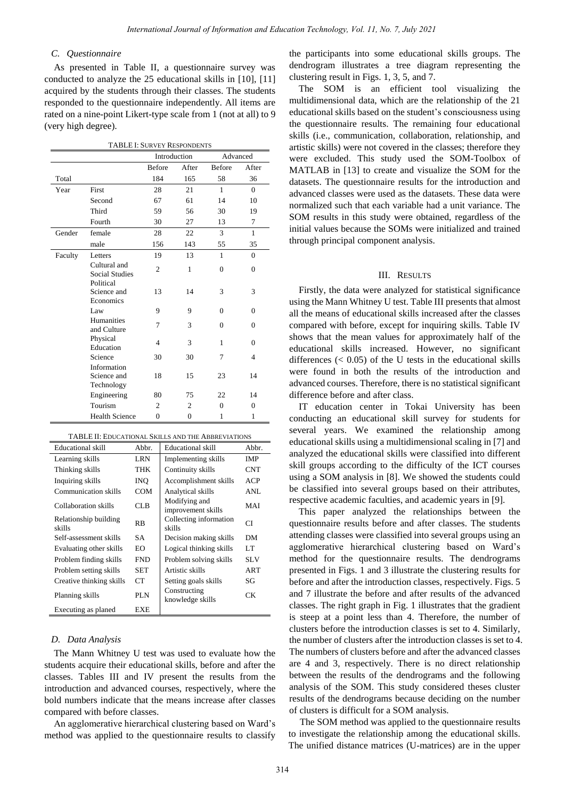# *C. Questionnaire*

As presented in Table II, a questionnaire survey was conducted to analyze the 25 educational skills in [10], [11] acquired by the students through their classes. The students responded to the questionnaire independently. All items are rated on a nine-point Likert-type scale from 1 (not at all) to 9 (very high degree).

| <b>TABLE I: SURVEY RESPONDENTS</b> |                                                    |                |                |               |                |
|------------------------------------|----------------------------------------------------|----------------|----------------|---------------|----------------|
|                                    |                                                    | Introduction   |                | Advanced      |                |
|                                    |                                                    | <b>Before</b>  | After          | <b>Before</b> | After          |
| Total                              |                                                    | 184            | 165            | 58            | 36             |
| Year                               | First                                              | 28             | 21             | $\mathbf{1}$  | $\Omega$       |
|                                    | Second                                             | 67             | 61             | 14            | 10             |
|                                    | Third                                              | 59             | 56             | 30            | 19             |
|                                    | Fourth                                             | 30             | 27             | 13            | 7              |
| Gender                             | female                                             | 28             | 22             | 3             | $\mathbf{1}$   |
|                                    | male                                               | 156            | 143            | 55            | 35             |
| Faculty                            | Letters                                            | 19             | 13             | $\mathbf{1}$  | $\mathbf{0}$   |
|                                    | Cultural and<br><b>Social Studies</b><br>Political | $\overline{c}$ | 1              | $\theta$      | $\Omega$       |
|                                    | Science and<br>Economics                           | 13             | 14             | 3             | 3              |
|                                    | Law                                                | 9              | 9              | $\Omega$      | $\Omega$       |
|                                    | <b>Humanities</b><br>and Culture                   | 7              | 3              | $\theta$      | $\Omega$       |
|                                    | Physical<br>Education                              | 4              | 3              | 1             | $\Omega$       |
|                                    | Science                                            | 30             | 30             | 7             | $\overline{4}$ |
|                                    | Information<br>Science and<br>Technology           | 18             | 15             | 23            | 14             |
|                                    | Engineering                                        | 80             | 75             | 22            | 14             |
|                                    | Tourism                                            | $\overline{c}$ | $\overline{c}$ | $\theta$      | $\Omega$       |
|                                    | <b>Health Science</b>                              | $\Omega$       | $\Omega$       | 1             | 1              |

| 171000 11. DDVC/IIIOIWD DIWDD/WD-1110 / 1991W-11/IIIOIW |            |                                     |            |  |  |  |
|---------------------------------------------------------|------------|-------------------------------------|------------|--|--|--|
| Educational skill                                       | Abbr.      | <b>Educational</b> skill            | Abbr.      |  |  |  |
| Learning skills                                         | LRN        | Implementing skills                 | <b>IMP</b> |  |  |  |
| Thinking skills                                         | THK        | Continuity skills                   | <b>CNT</b> |  |  |  |
| Inquiring skills                                        | INQ.       | Accomplishment skills               | ACP        |  |  |  |
| Communication skills                                    | COM        | Analytical skills                   | ANL        |  |  |  |
| Collaboration skills                                    | CLB.       | Modifying and<br>improvement skills | MAI        |  |  |  |
| Relationship building<br>skills                         | RB         | Collecting information<br>skills    | СI         |  |  |  |
| Self-assessment skills                                  | SА         | Decision making skills              | DM         |  |  |  |
| Evaluating other skills                                 | EО         | Logical thinking skills             | LT         |  |  |  |
| Problem finding skills                                  | FND        | Problem solving skills              | <b>SLV</b> |  |  |  |
| Problem setting skills                                  | <b>SET</b> | Artistic skills                     | ART        |  |  |  |
| Creative thinking skills                                | CT         | Setting goals skills                | SG         |  |  |  |
| Planning skills                                         | PLN        | Constructing<br>knowledge skills    | CК         |  |  |  |
| Executing as planed                                     | EXE        |                                     |            |  |  |  |

## *D. Data Analysis*

The Mann Whitney U test was used to evaluate how the students acquire their educational skills, before and after the classes. Tables III and IV present the results from the introduction and advanced courses, respectively, where the bold numbers indicate that the means increase after classes compared with before classes.

An agglomerative hierarchical clustering based on Ward's method was applied to the questionnaire results to classify

the participants into some educational skills groups. The dendrogram illustrates a tree diagram representing the clustering result in Figs. 1, 3, 5, and 7.

The SOM is an efficient tool visualizing the multidimensional data, which are the relationship of the 21 educational skills based on the student's consciousness using the questionnaire results. The remaining four educational skills (i.e., communication, collaboration, relationship, and artistic skills) were not covered in the classes; therefore they were excluded. This study used the SOM-Toolbox of MATLAB in [13] to create and visualize the SOM for the datasets. The questionnaire results for the introduction and advanced classes were used as the datasets. These data were normalized such that each variable had a unit variance. The SOM results in this study were obtained, regardless of the initial values because the SOMs were initialized and trained through principal component analysis.

# III. RESULTS

Firstly, the data were analyzed for statistical significance using the Mann Whitney U test. Table III presents that almost all the means of educational skills increased after the classes compared with before, except for inquiring skills. Table IV shows that the mean values for approximately half of the educational skills increased. However, no significant differences  $( $0.05$ ) of the U tests in the educational skills$ were found in both the results of the introduction and advanced courses. Therefore, there is no statistical significant difference before and after class.

IT education center in Tokai University has been conducting an educational skill survey for students for several years. We examined the relationship among educational skills using a multidimensional scaling in [7] and analyzed the educational skills were classified into different skill groups according to the difficulty of the ICT courses using a SOM analysis in [8]. We showed the students could be classified into several groups based on their attributes, respective academic faculties, and academic years in [9].

This paper analyzed the relationships between the questionnaire results before and after classes. The students attending classes were classified into several groups using an agglomerative hierarchical clustering based on Ward's method for the questionnaire results. The dendrograms presented in Figs. 1 and 3 illustrate the clustering results for before and after the introduction classes, respectively. Figs. 5 and 7 illustrate the before and after results of the advanced classes. The right graph in Fig. 1 illustrates that the gradient is steep at a point less than 4. Therefore, the number of clusters before the introduction classes is set to 4. Similarly, the number of clusters after the introduction classes is set to 4. The numbers of clusters before and after the advanced classes are 4 and 3, respectively. There is no direct relationship between the results of the dendrograms and the following analysis of the SOM. This study considered theses cluster results of the dendrograms because deciding on the number of clusters is difficult for a SOM analysis.

The SOM method was applied to the questionnaire results to investigate the relationship among the educational skills. The unified distance matrices (U-matrices) are in the upper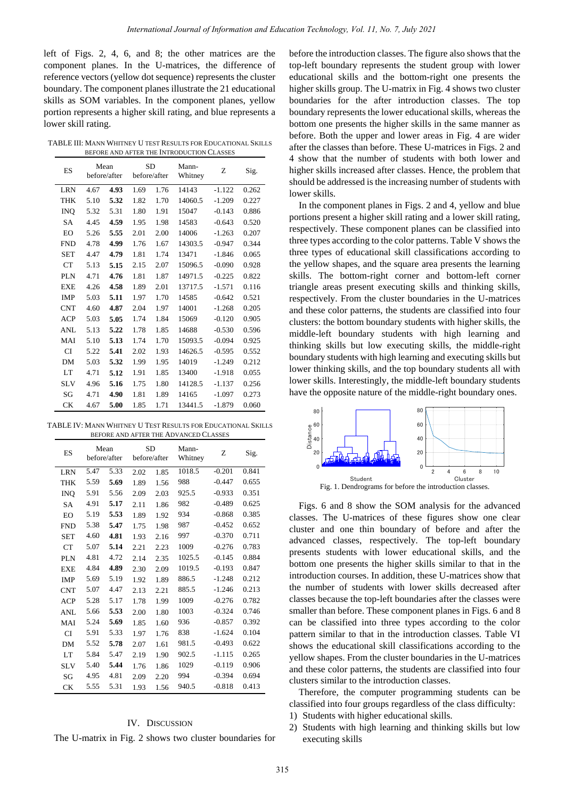left of Figs. 2, 4, 6, and 8; the other matrices are the component planes. In the U-matrices, the difference of reference vectors (yellow dot sequence) represents the cluster boundary. The component planes illustrate the 21 educational skills as SOM variables. In the component planes, yellow portion represents a higher skill rating, and blue represents a lower skill rating.

TABLE III: MANN WHITNEY U TEST RESULTS FOR EDUCATIONAL SKILLS BEFORE AND AFTER THE INTRODUCTION CLASSES

| ES         |      | Mean<br>before/after |      | <b>SD</b><br>before/after | Mann-<br>Whitney | Z        | Sig.  |
|------------|------|----------------------|------|---------------------------|------------------|----------|-------|
| <b>LRN</b> | 4.67 | 4.93                 | 1.69 | 1.76                      | 14143            | $-1.122$ | 0.262 |
| <b>THK</b> | 5.10 | 5.32                 | 1.82 | 1.70                      | 14060.5          | $-1.209$ | 0.227 |
| <b>INO</b> | 5.32 | 5.31                 | 1.80 | 1.91                      | 15047            | $-0.143$ | 0.886 |
| <b>SA</b>  | 4.45 | 4.59                 | 1.95 | 1.98                      | 14583            | $-0.643$ | 0.520 |
| EO         | 5.26 | 5.55                 | 2.01 | 2.00                      | 14006            | $-1.263$ | 0.207 |
| <b>FND</b> | 4.78 | 4.99                 | 1.76 | 1.67                      | 14303.5          | $-0.947$ | 0.344 |
| <b>SET</b> | 4.47 | 4.79                 | 1.81 | 1.74                      | 13471            | $-1.846$ | 0.065 |
| CT         | 5.13 | 5.15                 | 2.15 | 2.07                      | 15096.5          | $-0.090$ | 0.928 |
| PLN        | 4.71 | 4.76                 | 1.81 | 1.87                      | 14971.5          | $-0.225$ | 0.822 |
| <b>EXE</b> | 4.26 | 4.58                 | 1.89 | 2.01                      | 13717.5          | $-1.571$ | 0.116 |
| <b>IMP</b> | 5.03 | 5.11                 | 1.97 | 1.70                      | 14585            | $-0.642$ | 0.521 |
| <b>CNT</b> | 4.60 | 4.87                 | 2.04 | 1.97                      | 14001            | $-1.268$ | 0.205 |
| <b>ACP</b> | 5.03 | 5.05                 | 1.74 | 1.84                      | 15069            | $-0.120$ | 0.905 |
| ANL        | 5.13 | 5.22                 | 1.78 | 1.85                      | 14688            | $-0.530$ | 0.596 |
| MAI        | 5.10 | 5.13                 | 1.74 | 1.70                      | 15093.5          | $-0.094$ | 0.925 |
| <b>CI</b>  | 5.22 | 5.41                 | 2.02 | 1.93                      | 14626.5          | $-0.595$ | 0.552 |
| DM         | 5.03 | 5.32                 | 1.99 | 1.95                      | 14019            | $-1.249$ | 0.212 |
| LT         | 4.71 | 5.12                 | 1.91 | 1.85                      | 13400            | $-1.918$ | 0.055 |
| <b>SLV</b> | 4.96 | 5.16                 | 1.75 | 1.80                      | 14128.5          | $-1.137$ | 0.256 |
| SG         | 4.71 | 4.90                 | 1.81 | 1.89                      | 14165            | $-1.097$ | 0.273 |
| <b>CK</b>  | 4.67 | 5.00                 | 1.85 | 1.71                      | 13441.5          | $-1.879$ | 0.060 |

TABLE IV: MANN WHITNEY U TEST RESULTS FOR EDUCATIONAL SKILLS BEFORE AND AFTER THE ADVANCED CLASSES

| ES         |      | Mean<br>before/after |      | <b>SD</b><br>before/after | Mann-<br>Whitney | Z        | Sig.  |
|------------|------|----------------------|------|---------------------------|------------------|----------|-------|
| <b>LRN</b> | 5.47 | 5.33                 | 2.02 | 1.85                      | 1018.5           | $-0.201$ | 0.841 |
| <b>THK</b> | 5.59 | 5.69                 | 1.89 | 1.56                      | 988              | $-0.447$ | 0.655 |
| <b>INO</b> | 5.91 | 5.56                 | 2.09 | 2.03                      | 925.5            | $-0.933$ | 0.351 |
| <b>SA</b>  | 4.91 | 5.17                 | 2.11 | 1.86                      | 982              | $-0.489$ | 0.625 |
| EO         | 5.19 | 5.53                 | 1.89 | 1.92                      | 934              | $-0.868$ | 0.385 |
| <b>FND</b> | 5.38 | 5.47                 | 1.75 | 1.98                      | 987              | $-0.452$ | 0.652 |
| <b>SET</b> | 4.60 | 4.81                 | 1.93 | 2.16                      | 997              | $-0.370$ | 0.711 |
| CT         | 5.07 | 5.14                 | 2.21 | 2.23                      | 1009             | $-0.276$ | 0.783 |
| PLN        | 4.81 | 4.72                 | 2.14 | 2.35                      | 1025.5           | $-0.145$ | 0.884 |
| <b>EXE</b> | 4.84 | 4.89                 | 2.30 | 2.09                      | 1019.5           | $-0.193$ | 0.847 |
| <b>IMP</b> | 5.69 | 5.19                 | 1.92 | 1.89                      | 886.5            | $-1.248$ | 0.212 |
| <b>CNT</b> | 5.07 | 4.47                 | 2.13 | 2.21                      | 885.5            | $-1.246$ | 0.213 |
| <b>ACP</b> | 5.28 | 5.17                 | 1.78 | 1.99                      | 1009             | $-0.276$ | 0.782 |
| ANL        | 5.66 | 5.53                 | 2.00 | 1.80                      | 1003             | $-0.324$ | 0.746 |
| MAI        | 5.24 | 5.69                 | 1.85 | 1.60                      | 936              | $-0.857$ | 0.392 |
| CI         | 5.91 | 5.33                 | 1.97 | 1.76                      | 838              | $-1.624$ | 0.104 |
| DM         | 5.52 | 5.78                 | 2.07 | 1.61                      | 981.5            | $-0.493$ | 0.622 |
| LT         | 5.84 | 5.47                 | 2.19 | 1.90                      | 902.5            | $-1.115$ | 0.265 |
| <b>SLV</b> | 5.40 | 5.44                 | 1.76 | 1.86                      | 1029             | $-0.119$ | 0.906 |
| SG         | 4.95 | 4.81                 | 2.09 | 2.20                      | 994              | $-0.394$ | 0.694 |
| <b>CK</b>  | 5.55 | 5.31                 | 1.93 | 1.56                      | 940.5            | $-0.818$ | 0.413 |

## IV. DISCUSSION

The U-matrix in Fig. 2 shows two cluster boundaries for

before the introduction classes. The figure also shows that the top-left boundary represents the student group with lower educational skills and the bottom-right one presents the higher skills group. The U-matrix in Fig. 4 shows two cluster boundaries for the after introduction classes. The top boundary represents the lower educational skills, whereas the bottom one presents the higher skills in the same manner as before. Both the upper and lower areas in Fig. 4 are wider after the classes than before. These U-matrices in Figs. 2 and 4 show that the number of students with both lower and higher skills increased after classes. Hence, the problem that should be addressed is the increasing number of students with lower skills.

In the component planes in Figs. 2 and 4, yellow and blue portions present a higher skill rating and a lower skill rating, respectively. These component planes can be classified into three types according to the color patterns. Table V shows the three types of educational skill classifications according to the yellow shapes, and the square area presents the learning skills. The bottom-right corner and bottom-left corner triangle areas present executing skills and thinking skills, respectively. From the cluster boundaries in the U-matrices and these color patterns, the students are classified into four clusters: the bottom boundary students with higher skills, the middle-left boundary students with high learning and thinking skills but low executing skills, the middle-right boundary students with high learning and executing skills but lower thinking skills, and the top boundary students all with lower skills. Interestingly, the middle-left boundary students have the opposite nature of the middle-right boundary ones.



Figs. 6 and 8 show the SOM analysis for the advanced classes. The U-matrices of these figures show one clear cluster and one thin boundary of before and after the advanced classes, respectively. The top-left boundary presents students with lower educational skills, and the bottom one presents the higher skills similar to that in the introduction courses. In addition, these U-matrices show that the number of students with lower skills decreased after classes because the top-left boundaries after the classes were smaller than before. These component planes in Figs. 6 and 8 can be classified into three types according to the color pattern similar to that in the introduction classes. Table VI shows the educational skill classifications according to the yellow shapes. From the cluster boundaries in the U-matrices and these color patterns, the students are classified into four clusters similar to the introduction classes.

Therefore, the computer programming students can be classified into four groups regardless of the class difficulty:

- 1) Students with higher educational skills.
- 2) Students with high learning and thinking skills but low executing skills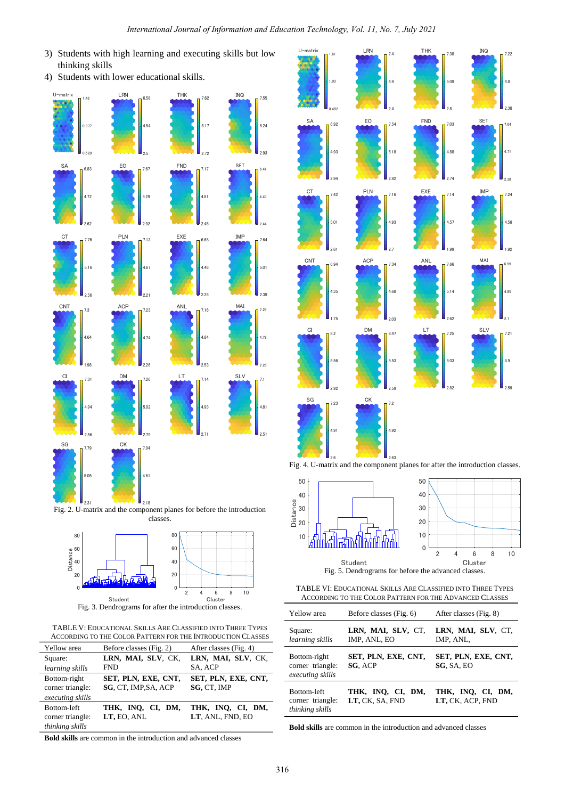U-matrix

1.03

 $1.61$  LRN

- 3) Students with high learning and executing skills but low thinking skills
- 4) Students with lower educational skills.







Fig. 3. Dendrograms for after the introduction classes.

TABLE V: EDUCATIONAL SKILLS ARE CLASSIFIED INTO THREE TYPES ACCORDING TO THE COLOR PATTERN FOR THE INTRODUCTION CLASSES

| Yellow area                                          | Before classes (Fig. 2)                     | After classes (Fig. 4)                |
|------------------------------------------------------|---------------------------------------------|---------------------------------------|
| Square:                                              | LRN, MAI, SLV, CK,                          | LRN, MAI, SLV, CK,                    |
| learning skills                                      | FND                                         | SA, ACP                               |
| Bottom-right<br>corner triangle:<br>executing skills | SET, PLN, EXE, CNT,<br>SG, CT, IMP, SA, ACP | SET, PLN, EXE, CNT,<br>SG, CT, IMP    |
| Bottom-left<br>corner triangle:<br>thinking skills   | THK, INO, CI, DM,<br>LT, EO, ANL            | THK, INQ, CI, DM,<br>LT, ANL, FND, EO |

0.452 2.4 2.8 SA 2.94 4.93 6.92 **FO FND FND** 2.74 4.88 7.03 SET CT 2.61 5.01 PLN 2.7 4.93 EXE 1.99 4.57 7.14 CNT 1.75 4.35 6.94 **ACP** 7.34 **ANL** 2.62 5.14 7.66 MAI CI 2.92 5.56 8.2 DM 2.59 5.53 8.47 **LT** 2.82 5.03  $\begin{array}{cc} 7.25 & 5 \end{array}$ EO 2.82  $5.18$ 7.54 IMP **ACF** 2.03 4.68 7.34

4.9

7.4 THK

5.09

7.38 INQ

2.38

7.04

2.38

7.24

4.58

4.71

4.8

7.22





Fig. 4. U-matrix and the component planes for after the introduction classes.



Fig. 5. Dendrograms for before the advanced classes.

TABLE VI: EDUCATIONAL SKILLS ARE CLASSIFIED INTO THREE TYPES ACCORDING TO THE COLOR PATTERN FOR THE ADVANCED CLASSES

| Yellow area                                          | Before classes (Fig. 6)              | After classes (Fig. 8)                |
|------------------------------------------------------|--------------------------------------|---------------------------------------|
| Square:<br>learning skills                           | LRN, MAI, SLV, CT,<br>IMP, ANL, EO   | LRN, MAI, SLV, CT,<br>IMP, ANL,       |
| Bottom-right<br>corner triangle:<br>executing skills | SET, PLN, EXE, CNT,<br>SG, ACP       | SET, PLN, EXE, CNT,<br>SG, SA, EO     |
| Bottom-left<br>corner triangle:<br>thinking skills   | THK, INQ, CI, DM,<br>LT, CK, SA, FND | THK, INQ, CI, DM,<br>LT, CK, ACP, FND |

**Bold skills** are common in the introduction and advanced classes

**Bold skills** are common in the introduction and advanced classes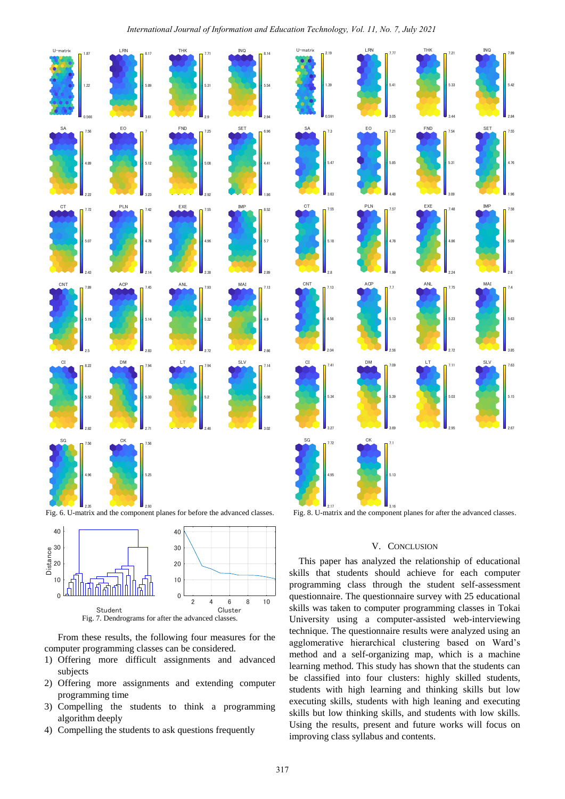## *International Journal of Information and Education Technology, Vol. 11, No. 7, July 2021*



Fig. 6. U-matrix and the component planes for before the advanced classes.



From these results, the following four measures for the computer programming classes can be considered.

- 1) Offering more difficult assignments and advanced subjects
- 2) Offering more assignments and extending computer programming time
- 3) Compelling the students to think a programming algorithm deeply
- 



THK

Fig. 8. U-matrix and the component planes for after the advanced classes.

# V. CONCLUSION

This paper has analyzed the relationship of educational skills that students should achieve for each computer programming class through the student self-assessment questionnaire. The questionnaire survey with 25 educational skills was taken to computer programming classes in Tokai University using a computer-assisted web-interviewing technique. The questionnaire results were analyzed using an agglomerative hierarchical clustering based on Ward's method and a self-organizing map, which is a machine learning method. This study has shown that the students can be classified into four clusters: highly skilled students, students with high learning and thinking skills but low executing skills, students with high leaning and executing skills but low thinking skills, and students with low skills. Using the results, present and future works will focus on improving class syllabus and contents.